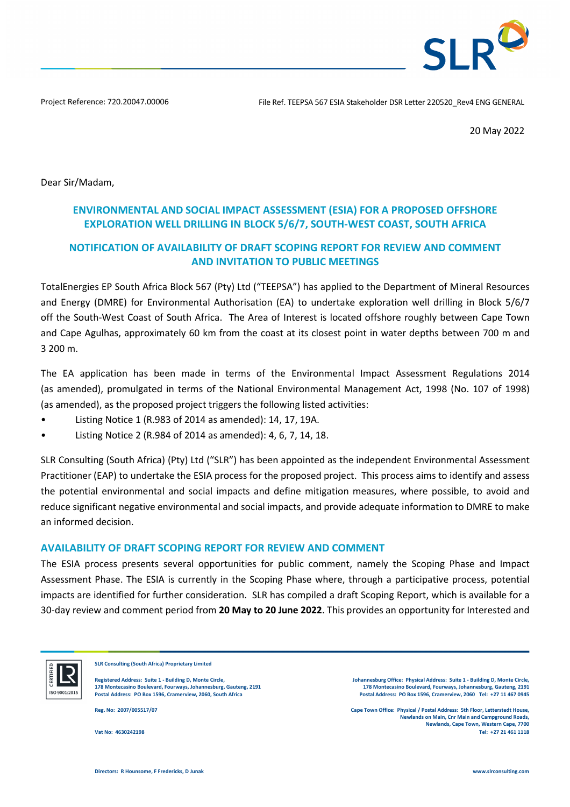**SLR** 

Project Reference: 720.20047.00006 File Ref. TEEPSA 567 ESIA Stakeholder DSR Letter 220520\_Rev4 ENG GENERAL

20 May 2022

Dear Sir/Madam,

# **ENVIRONMENTAL AND SOCIAL IMPACT ASSESSMENT (ESIA) FOR A PROPOSED OFFSHORE EXPLORATION WELL DRILLING IN BLOCK 5/6/7, SOUTH-WEST COAST, SOUTH AFRICA**

# **NOTIFICATION OF AVAILABILITY OF DRAFT SCOPING REPORT FOR REVIEW AND COMMENT AND INVITATION TO PUBLIC MEETINGS**

TotalEnergies EP South Africa Block 567 (Pty) Ltd ("TEEPSA") has applied to the Department of Mineral Resources and Energy (DMRE) for Environmental Authorisation (EA) to undertake exploration well drilling in Block 5/6/7 off the South-West Coast of South Africa. The Area of Interest is located offshore roughly between Cape Town and Cape Agulhas, approximately 60 km from the coast at its closest point in water depths between 700 m and 3 200 m.

The EA application has been made in terms of the Environmental Impact Assessment Regulations 2014 (as amended), promulgated in terms of the National Environmental Management Act, 1998 (No. 107 of 1998) (as amended), as the proposed project triggers the following listed activities:

- Listing Notice 1 (R.983 of 2014 as amended): 14, 17, 19A.
- Listing Notice 2 (R.984 of 2014 as amended): 4, 6, 7, 14, 18.

SLR Consulting (South Africa) (Pty) Ltd ("SLR") has been appointed as the independent Environmental Assessment Practitioner (EAP) to undertake the ESIA process for the proposed project. This process aims to identify and assess the potential environmental and social impacts and define mitigation measures, where possible, to avoid and reduce significant negative environmental and social impacts, and provide adequate information to DMRE to make an informed decision.

## **AVAILABILITY OF DRAFT SCOPING REPORT FOR REVIEW AND COMMENT**

The ESIA process presents several opportunities for public comment, namely the Scoping Phase and Impact Assessment Phase. The ESIA is currently in the Scoping Phase where, through a participative process, potential impacts are identified for further consideration. SLR has compiled a draft Scoping Report, which is available for a 30-day review and comment period from **20 May to 20 June 2022**. This provides an opportunity for Interested and



**SLR Consulting (South Africa) Proprietary Limited** 

**Registered Address: Suite 1 - Building D, Monte Circle, 178 Montecasino Boulevard, Fourways, Johannesburg, Gauteng, 2191**

**Johannesburg Office: Physical Address: Suite 1 - Building D, Monte Circle, 178 Montecasino Boulevard, Fourways, Johannesburg, Gauteng, 2191 Postal Address: PO Box 1596, Cramerview, 2060, South Africa Postal Address: PO Box 1596, Cramerview, 2060 Tel: +27 11 467 0945** 

**Reg. No: 2007/005517/07 Cape Town Office: Physical / Postal Address: 5th Floor, Letterstedt House, Newlands on Main, Cnr Main and Campground Roads, Newlands, Cape Town, Western Cape, 7700 Vat No: 4630242198 Tel: +27 21 461 1118**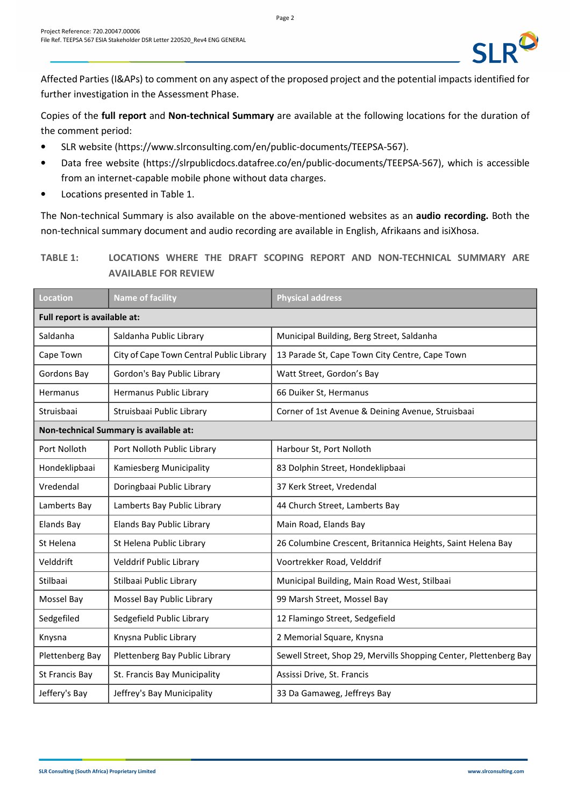Affected Parties (I&APs) to comment on any aspect of the proposed project and the potential impacts identified for further investigation in the Assessment Phase.

Copies of the **full report** and **Non-technical Summary** are available at the following locations for the duration of the comment period:

- SLR website (https://www.slrconsulting.com/en/public-documents/TEEPSA-567).
- Data free website (https://slrpublicdocs.datafree.co/en/public-documents/TEEPSA-567), which is accessible from an internet-capable mobile phone without data charges.
- Locations presented in Table 1.

The Non-technical Summary is also available on the above-mentioned websites as an **audio recording.** Both the non-technical summary document and audio recording are available in English, Afrikaans and isiXhosa.

**TABLE 1: LOCATIONS WHERE THE DRAFT SCOPING REPORT AND NON-TECHNICAL SUMMARY ARE AVAILABLE FOR REVIEW**

| <b>Location</b>                        | <b>Name of facility</b>                  | <b>Physical address</b>                                           |  |  |  |
|----------------------------------------|------------------------------------------|-------------------------------------------------------------------|--|--|--|
| Full report is available at:           |                                          |                                                                   |  |  |  |
| Saldanha                               | Saldanha Public Library                  | Municipal Building, Berg Street, Saldanha                         |  |  |  |
| Cape Town                              | City of Cape Town Central Public Library | 13 Parade St, Cape Town City Centre, Cape Town                    |  |  |  |
| Gordons Bay                            | Gordon's Bay Public Library              | Watt Street, Gordon's Bay                                         |  |  |  |
| Hermanus                               | Hermanus Public Library                  | 66 Duiker St, Hermanus                                            |  |  |  |
| Struisbaai                             | Struisbaai Public Library                | Corner of 1st Avenue & Deining Avenue, Struisbaai                 |  |  |  |
| Non-technical Summary is available at: |                                          |                                                                   |  |  |  |
| Port Nolloth                           | Port Nolloth Public Library              | Harbour St, Port Nolloth                                          |  |  |  |
| Hondeklipbaai                          | Kamiesberg Municipality                  | 83 Dolphin Street, Hondeklipbaai                                  |  |  |  |
| Vredendal                              | Doringbaai Public Library                | 37 Kerk Street, Vredendal                                         |  |  |  |
| Lamberts Bay                           | Lamberts Bay Public Library              | 44 Church Street, Lamberts Bay                                    |  |  |  |
| <b>Elands Bay</b>                      | <b>Elands Bay Public Library</b>         | Main Road, Elands Bay                                             |  |  |  |
| St Helena                              | St Helena Public Library                 | 26 Columbine Crescent, Britannica Heights, Saint Helena Bay       |  |  |  |
| Velddrift                              | Velddrif Public Library                  | Voortrekker Road, Velddrif                                        |  |  |  |
| Stilbaai                               | Stilbaai Public Library                  | Municipal Building, Main Road West, Stilbaai                      |  |  |  |
| Mossel Bay                             | Mossel Bay Public Library                | 99 Marsh Street, Mossel Bay                                       |  |  |  |
| Sedgefiled                             | Sedgefield Public Library                | 12 Flamingo Street, Sedgefield                                    |  |  |  |
| Knysna                                 | Knysna Public Library                    | 2 Memorial Square, Knysna                                         |  |  |  |
| Plettenberg Bay                        | Plettenberg Bay Public Library           | Sewell Street, Shop 29, Mervills Shopping Center, Plettenberg Bay |  |  |  |
| St Francis Bay                         | St. Francis Bay Municipality             | Assissi Drive, St. Francis                                        |  |  |  |
| Jeffery's Bay                          | Jeffrey's Bay Municipality               | 33 Da Gamaweg, Jeffreys Bay                                       |  |  |  |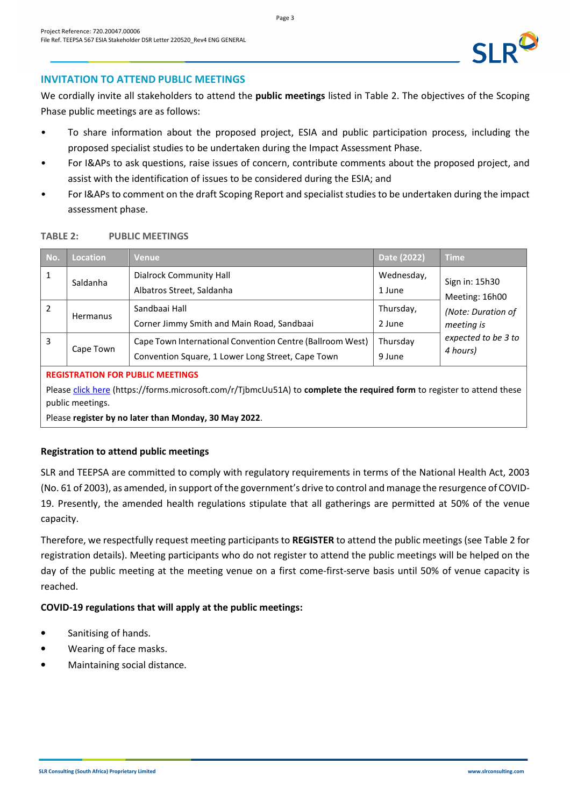## **INVITATION TO ATTEND PUBLIC MEETINGS**

We cordially invite all stakeholders to attend the **public meetings** listed in Table 2. The objectives of the Scoping Phase public meetings are as follows:

- To share information about the proposed project, ESIA and public participation process, including the proposed specialist studies to be undertaken during the Impact Assessment Phase.
- For I&APs to ask questions, raise issues of concern, contribute comments about the proposed project, and assist with the identification of issues to be considered during the ESIA; and
- For I&APs to comment on the draft Scoping Report and specialist studies to be undertaken during the impact assessment phase.

### **TABLE 2: PUBLIC MEETINGS**

| No. | Location  | Venue                                                                                                          | Date (2022)          | <b>Time</b>                                                                                             |
|-----|-----------|----------------------------------------------------------------------------------------------------------------|----------------------|---------------------------------------------------------------------------------------------------------|
|     | Saldanha  | Dialrock Community Hall<br>Albatros Street, Saldanha                                                           | Wednesday,<br>1 June | Sign in: 15h30<br>Meeting: 16h00<br>(Note: Duration of<br>meeting is<br>expected to be 3 to<br>4 hours) |
| 2   | Hermanus  | Sandbaai Hall<br>Corner Jimmy Smith and Main Road, Sandbaai                                                    | Thursday,<br>2 June  |                                                                                                         |
| 3   | Cape Town | Cape Town International Convention Centre (Ballroom West)<br>Convention Square, 1 Lower Long Street, Cape Town | Thursday<br>9 June   |                                                                                                         |

#### **REGISTRATION FOR PUBLIC MEETINGS**

Please [click here](https://forms.microsoft.com/r/TjbmcUu51A) (https://forms.microsoft.com/r/TjbmcUu51A) to **complete the required form** to register to attend these public meetings.

Please **register by no later than Monday, 30 May 2022**.

## **Registration to attend public meetings**

SLR and TEEPSA are committed to comply with regulatory requirements in terms of the National Health Act, 2003 (No. 61 of 2003), as amended, in support of the government's drive to control and manage the resurgence of COVID-19. Presently, the amended health regulations stipulate that all gatherings are permitted at 50% of the venue capacity.

Therefore, we respectfully request meeting participants to **REGISTER** to attend the public meetings (see Table 2 for registration details). Meeting participants who do not register to attend the public meetings will be helped on the day of the public meeting at the meeting venue on a first come-first-serve basis until 50% of venue capacity is reached.

## **COVID-19 regulations that will apply at the public meetings:**

- Sanitising of hands.
- Wearing of face masks.
- Maintaining social distance.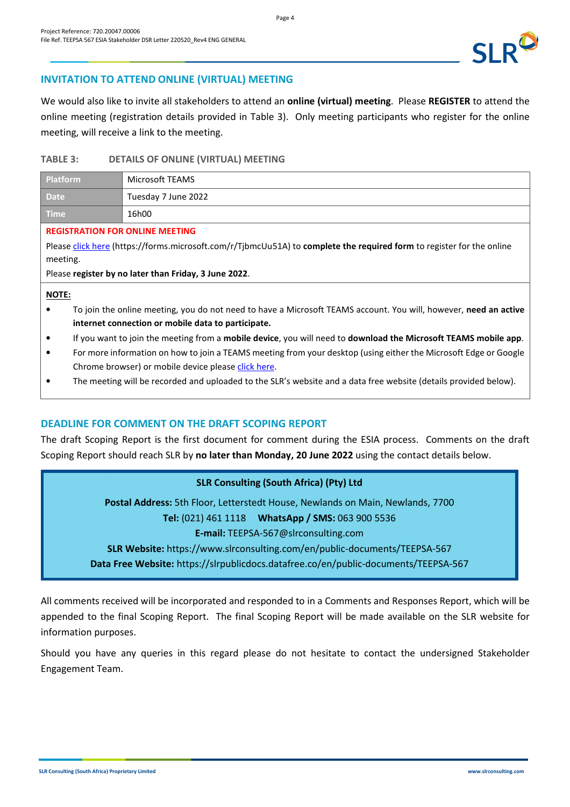

We would also like to invite all stakeholders to attend an **online (virtual) meeting**. Please **REGISTER** to attend the online meeting (registration details provided in Table 3). Only meeting participants who register for the online meeting, will receive a link to the meeting.

### **TABLE 3: DETAILS OF ONLINE (VIRTUAL) MEETING**

| <b>Platform</b>                    | Microsoft TEAMS     |
|------------------------------------|---------------------|
| <b>Date</b>                        | Tuesday 7 June 2022 |
| $\blacksquare$ Time $\blacksquare$ | 16h00               |

#### **REGISTRATION FOR ONLINE MEETING**

Please [click here](https://forms.microsoft.com/r/TjbmcUu51A) (https://forms.microsoft.com/r/TjbmcUu51A) to **complete the required form** to register for the online meeting.

Please **register by no later than Friday, 3 June 2022**.

#### **NOTE:**

- To join the online meeting, you do not need to have a Microsoft TEAMS account. You will, however, **need an active internet connection or mobile data to participate.**
- If you want to join the meeting from a **mobile device**, you will need to **download the Microsoft TEAMS mobile app**.
- For more information on how to join a TEAMS meeting from your desktop (using either the Microsoft Edge or Google Chrome browser) or mobile device please [click here](https://support.microsoft.com/en-us/office/join-a-meeting-without-a-teams-account-c6efc38f-4e03-4e79-b28f-e65a4c039508#ID0EBBAAA=Desktop).
- The meeting will be recorded and uploaded to the SLR's website and a data free website (details provided below).

## **DEADLINE FOR COMMENT ON THE DRAFT SCOPING REPORT**

The draft Scoping Report is the first document for comment during the ESIA process. Comments on the draft Scoping Report should reach SLR by **no later than Monday, 20 June 2022** using the contact details below.

## **SLR Consulting (South Africa) (Pty) Ltd**

**Postal Address:** 5th Floor, Letterstedt House, Newlands on Main, Newlands, 7700 **Tel:** (021) 461 1118 **WhatsApp / SMS:** 063 900 5536 **E-mail:** TEEPSA-567@slrconsulting.com **SLR Website:** https://www.slrconsulting.com/en/public-documents/TEEPSA-567 **Data Free Website:** https://slrpublicdocs.datafree.co/en/public-documents/TEEPSA-567

All comments received will be incorporated and responded to in a Comments and Responses Report, which will be appended to the final Scoping Report. The final Scoping Report will be made available on the SLR website for information purposes.

Should you have any queries in this regard please do not hesitate to contact the undersigned Stakeholder Engagement Team.

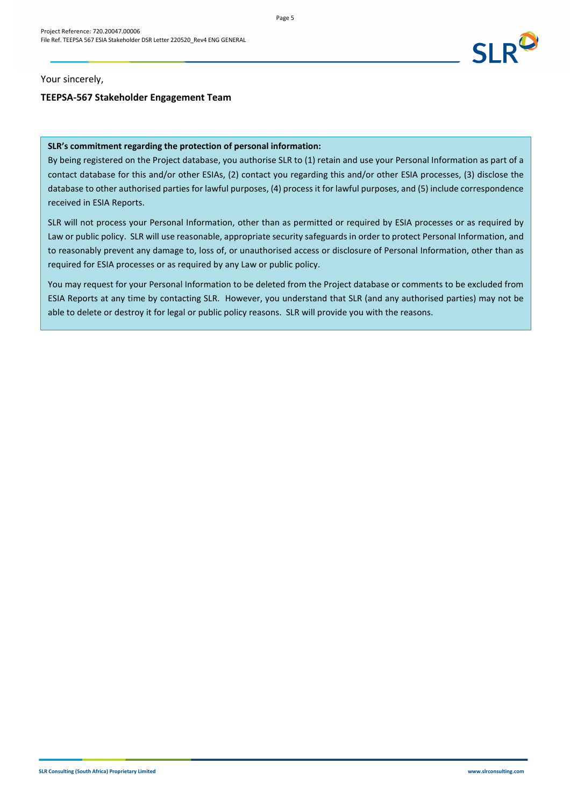

Your sincerely,

## **TEEPSA-567 Stakeholder Engagement Team**

#### **SLR's commitment regarding the protection of personal information:**

By being registered on the Project database, you authorise SLR to (1) retain and use your Personal Information as part of a contact database for this and/or other ESIAs, (2) contact you regarding this and/or other ESIA processes, (3) disclose the database to other authorised parties for lawful purposes, (4) process it for lawful purposes, and (5) include correspondence received in ESIA Reports.

SLR will not process your Personal Information, other than as permitted or required by ESIA processes or as required by Law or public policy. SLR will use reasonable, appropriate security safeguards in order to protect Personal Information, and to reasonably prevent any damage to, loss of, or unauthorised access or disclosure of Personal Information, other than as required for ESIA processes or as required by any Law or public policy.

You may request for your Personal Information to be deleted from the Project database or comments to be excluded from ESIA Reports at any time by contacting SLR. However, you understand that SLR (and any authorised parties) may not be able to delete or destroy it for legal or public policy reasons. SLR will provide you with the reasons.